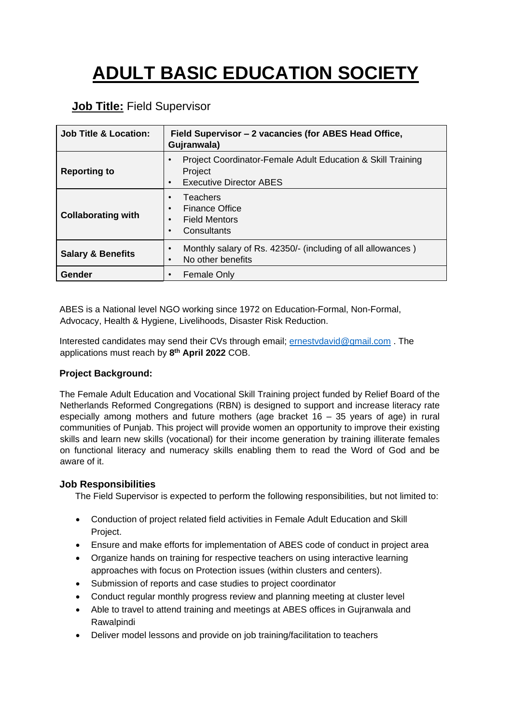# **ADULT BASIC EDUCATION SOCIETY**

## **Job Title:** Field Supervisor

| <b>Job Title &amp; Location:</b><br>Field Supervisor - 2 vacancies (for ABES Head Office,<br>Gujranwala) |                                                                                                                       |  |  |
|----------------------------------------------------------------------------------------------------------|-----------------------------------------------------------------------------------------------------------------------|--|--|
| <b>Reporting to</b>                                                                                      | Project Coordinator-Female Adult Education & Skill Training<br>Project<br><b>Executive Director ABES</b><br>$\bullet$ |  |  |
| <b>Collaborating with</b>                                                                                | Teachers<br><b>Finance Office</b><br>$\bullet$<br><b>Field Mentors</b><br>$\bullet$<br>Consultants<br>$\bullet$       |  |  |
| <b>Salary &amp; Benefits</b>                                                                             | Monthly salary of Rs. 42350/- (including of all allowances)<br>No other benefits                                      |  |  |
| Gender                                                                                                   | <b>Female Only</b>                                                                                                    |  |  |

ABES is a National level NGO working since 1972 on Education-Formal, Non-Formal, Advocacy, Health & Hygiene, Livelihoods, Disaster Risk Reduction.

Interested candidates may send their CVs through email; [ernestvdavid@gmail.com](mailto:ernestvdavid@gmail.com) . The applications must reach by **8 th April 2022** COB.

#### **Project Background:**

The Female Adult Education and Vocational Skill Training project funded by Relief Board of the Netherlands Reformed Congregations (RBN) is designed to support and increase literacy rate especially among mothers and future mothers (age bracket  $16 - 35$  years of age) in rural communities of Punjab. This project will provide women an opportunity to improve their existing skills and learn new skills (vocational) for their income generation by training illiterate females on functional literacy and numeracy skills enabling them to read the Word of God and be aware of it.

#### **Job Responsibilities**

The Field Supervisor is expected to perform the following responsibilities, but not limited to:

- Conduction of project related field activities in Female Adult Education and Skill Project.
- Ensure and make efforts for implementation of ABES code of conduct in project area
- Organize hands on training for respective teachers on using interactive learning approaches with focus on Protection issues (within clusters and centers).
- Submission of reports and case studies to project coordinator
- Conduct regular monthly progress review and planning meeting at cluster level
- Able to travel to attend training and meetings at ABES offices in Gujranwala and Rawalpindi
- Deliver model lessons and provide on job training/facilitation to teachers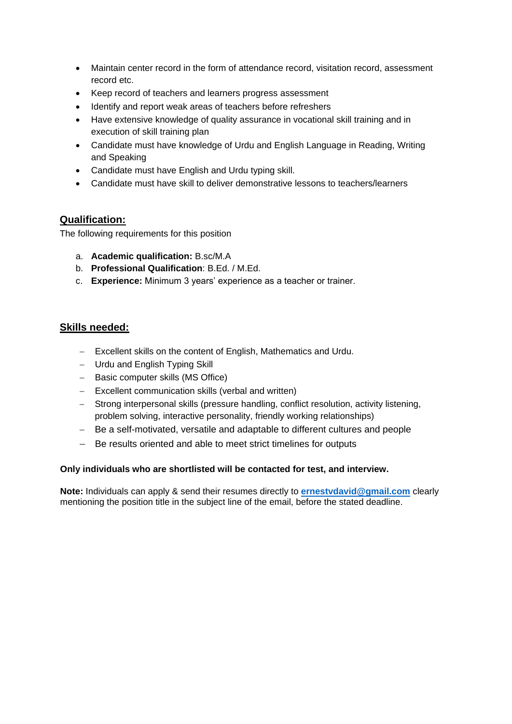- Maintain center record in the form of attendance record, visitation record, assessment record etc.
- Keep record of teachers and learners progress assessment
- Identify and report weak areas of teachers before refreshers
- Have extensive knowledge of quality assurance in vocational skill training and in execution of skill training plan
- Candidate must have knowledge of Urdu and English Language in Reading, Writing and Speaking
- Candidate must have English and Urdu typing skill.
- Candidate must have skill to deliver demonstrative lessons to teachers/learners

### **Qualification:**

The following requirements for this position

- a. **Academic qualification:** B.sc/M.A
- b. **Professional Qualification**: B.Ed. / M.Ed.
- c. **Experience:** Minimum 3 years' experience as a teacher or trainer.

#### **Skills needed:**

- Excellent skills on the content of English, Mathematics and Urdu.
- Urdu and English Typing Skill
- Basic computer skills (MS Office)
- Excellent communication skills (verbal and written)
- Strong interpersonal skills (pressure handling, conflict resolution, activity listening, problem solving, interactive personality, friendly working relationships)
- Be a self-motivated, versatile and adaptable to different cultures and people
- Be results oriented and able to meet strict timelines for outputs

#### **Only individuals who are shortlisted will be contacted for test, and interview.**

**Note:** Individuals can apply & send their resumes directly to **[ernestvdavid@gmail.com](mailto:ernestvdavid@gmail.com)** clearly mentioning the position title in the subject line of the email, before the stated deadline.